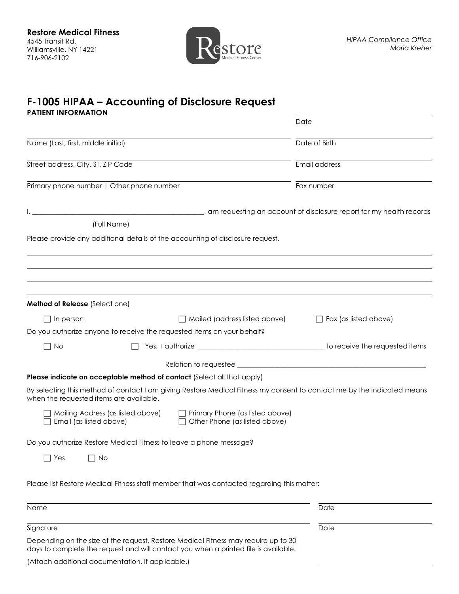

## **F-1005 HIPAA – Accounting of Disclosure Request PATIENT INFORMATION**

|                                                                         |                                                                                                                                                                           | Date                            |
|-------------------------------------------------------------------------|---------------------------------------------------------------------------------------------------------------------------------------------------------------------------|---------------------------------|
| Name (Last, first, middle initial)                                      |                                                                                                                                                                           | Date of Birth                   |
| Street address, City, ST, ZIP Code                                      |                                                                                                                                                                           | Email address                   |
| Primary phone number   Other phone number                               |                                                                                                                                                                           | Fax number                      |
| (Full Name)                                                             | am requesting an account of disclosure report for my health records of the cords of the matter of the cords of                                                            |                                 |
|                                                                         | Please provide any additional details of the accounting of disclosure request.                                                                                            |                                 |
|                                                                         |                                                                                                                                                                           |                                 |
|                                                                         |                                                                                                                                                                           |                                 |
| Method of Release (Select one)                                          |                                                                                                                                                                           |                                 |
| In person                                                               | $\Box$ Mailed (address listed above)                                                                                                                                      | $\exists$ Fax (as listed above) |
| Do you authorize anyone to receive the requested items on your behalf?  |                                                                                                                                                                           |                                 |
| $\Box$ No                                                               |                                                                                                                                                                           |                                 |
|                                                                         |                                                                                                                                                                           |                                 |
| Please indicate an acceptable method of contact (Select all that apply) |                                                                                                                                                                           |                                 |
| when the requested items are available.                                 | By selecting this method of contact I am giving Restore Medical Fitness my consent to contact me by the indicated means                                                   |                                 |
| Mailing Address (as listed above)<br>Email (as listed above)            | Primary Phone (as listed above)<br>Other Phone (as listed above)                                                                                                          |                                 |
| Do you authorize Restore Medical Fitness to leave a phone message?      |                                                                                                                                                                           |                                 |
| Yes<br>No                                                               |                                                                                                                                                                           |                                 |
|                                                                         | Please list Restore Medical Fitness staff member that was contacted regarding this matter:                                                                                |                                 |
| Name                                                                    |                                                                                                                                                                           | Date                            |
| Signature                                                               |                                                                                                                                                                           | Date                            |
|                                                                         | Depending on the size of the request, Restore Medical Fitness may require up to 30<br>days to complete the request and will contact you when a printed file is available. |                                 |
| (Attach additional documentation, if applicable.)                       |                                                                                                                                                                           |                                 |